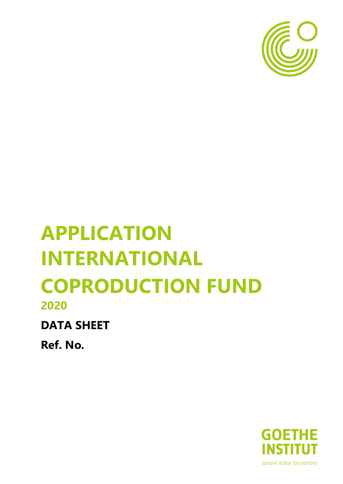

# **APPLICATION INTERNATIONAL COPRODUCTION FUND 2020**

**DATA SHEET** 

**Ref. No.**

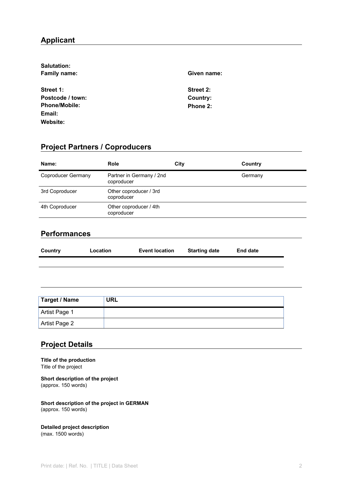# **Applicant**

| Salutation:          |             |  |
|----------------------|-------------|--|
| <b>Family name:</b>  | Given name: |  |
|                      |             |  |
| Street 1:            | Street 2:   |  |
| Postcode / town:     | Country:    |  |
| <b>Phone/Mobile:</b> | Phone 2:    |  |
| Email:               |             |  |
| Website:             |             |  |

# **Project Partners / Coproducers**

| Name:              | <b>Role</b>                            | City | Country |
|--------------------|----------------------------------------|------|---------|
| Coproducer Germany | Partner in Germany / 2nd<br>coproducer |      | Germany |
| 3rd Coproducer     | Other coproducer / 3rd<br>coproducer   |      |         |
| 4th Coproducer     | Other coproducer / 4th<br>coproducer   |      |         |
|                    |                                        |      |         |

## **Performances**

| Country | Location | <b>Event location</b> | <b>Starting date</b> | <b>End date</b> |
|---------|----------|-----------------------|----------------------|-----------------|
|         |          |                       |                      |                 |

| Target / Name | <b>URL</b> |
|---------------|------------|
| Artist Page 1 |            |
| Artist Page 2 |            |

## **Project Details**

**Title of the production** Title of the project

**Short description of the project** (approx. 150 words)

**Short description of the project in GERMAN** (approx. 150 words)

**Detailed project description** (max. 1500 words)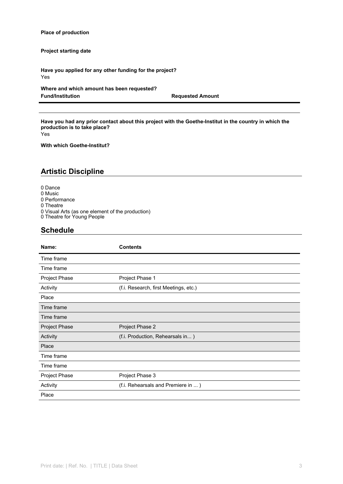#### **Place of production**

**Project starting date**

**Have you applied for any other funding for the project?** Yes

**Where and which amount has been requested?**

**Requested Amount** 

Have you had any prior contact about this project with the Goethe-Institut in the country in which the **production is to take place?**

Yes

**With which Goethe-Institut?**

## **Artistic Discipline**

0 Dance

- 0 Music
- 0 Performance
- 0 Theatre
- 0 Visual Arts (as one element of the production)
- 0 Theatre for Young People

#### **Schedule**

| Name:         | <b>Contents</b>                       |
|---------------|---------------------------------------|
| Time frame    |                                       |
| Time frame    |                                       |
| Project Phase | Project Phase 1                       |
| Activity      | (f.i. Research, first Meetings, etc.) |
| Place         |                                       |
| Time frame    |                                       |
| Time frame    |                                       |
| Project Phase | Project Phase 2                       |
| Activity      | (f.i. Production, Rehearsals in)      |
| Place         |                                       |
| Time frame    |                                       |
| Time frame    |                                       |
| Project Phase | Project Phase 3                       |
| Activity      | (f.i. Rehearsals and Premiere in )    |
| Place         |                                       |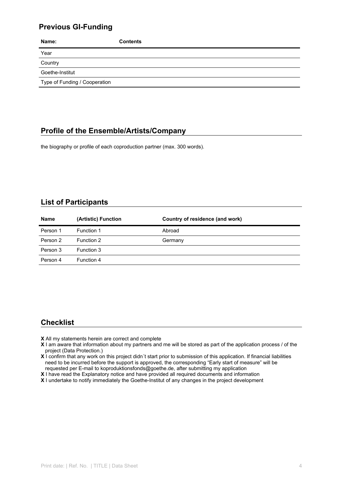## **Previous GI-Funding**

| Name:                         | <b>Contents</b> |
|-------------------------------|-----------------|
| Year                          |                 |
| Country                       |                 |
| Goethe-Institut               |                 |
| Type of Funding / Cooperation |                 |

## **Profile of the Ensemble/Artists/Company**

the biography or profile of each coproduction partner (max. 300 words).

## **List of Participants**

| <b>Name</b> | (Artistic) Function | Country of residence (and work) |
|-------------|---------------------|---------------------------------|
| Person 1    | Function 1          | Abroad                          |
| Person 2    | Function 2          | Germany                         |
| Person 3    | Function 3          |                                 |
| Person 4    | Function 4          |                                 |

## **Checklist**

- **X** All my statements herein are correct and complete
- **X** I am aware that information about my partners and me will be stored as part of the application process / of the project (Data Protection.)
- **X** I confirm that any work on this project didn´t start prior to submission of this application. If financial liabilities need to be incurred before the support is approved, the corresponding "Early start of measure" will be requested per E-mail to koproduktionsfonds@goethe.de, after submitting my application
- **X** I have read the Explanatory notice and have provided all required documents and information
- 
- **X** I undertake to notify immediately the Goethe-Institut of any changes in the project development